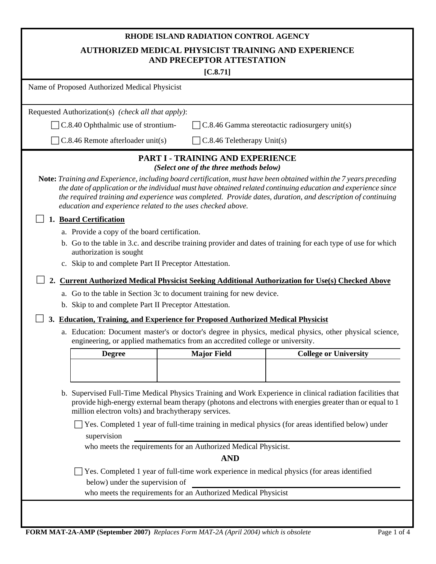| RHODE ISLAND RADIATION CONTROL AGENCY                                                                                                                                                                                                                                          |                                         |                                                                                                                                                                                                                              |  |  |  |  |
|--------------------------------------------------------------------------------------------------------------------------------------------------------------------------------------------------------------------------------------------------------------------------------|-----------------------------------------|------------------------------------------------------------------------------------------------------------------------------------------------------------------------------------------------------------------------------|--|--|--|--|
| <b>AUTHORIZED MEDICAL PHYSICIST TRAINING AND EXPERIENCE</b><br>AND PRECEPTOR ATTESTATION                                                                                                                                                                                       |                                         |                                                                                                                                                                                                                              |  |  |  |  |
| [C.8.71]                                                                                                                                                                                                                                                                       |                                         |                                                                                                                                                                                                                              |  |  |  |  |
| Name of Proposed Authorized Medical Physicist                                                                                                                                                                                                                                  |                                         |                                                                                                                                                                                                                              |  |  |  |  |
|                                                                                                                                                                                                                                                                                |                                         |                                                                                                                                                                                                                              |  |  |  |  |
| Requested Authorization(s) (check all that apply):                                                                                                                                                                                                                             |                                         |                                                                                                                                                                                                                              |  |  |  |  |
| $\Box$ C.8.40 Ophthalmic use of strontium-                                                                                                                                                                                                                                     |                                         | C.8.46 Gamma stereotactic radiosurgery unit(s)                                                                                                                                                                               |  |  |  |  |
| C.8.46 Remote afterloader unit(s)                                                                                                                                                                                                                                              | $C.8.46$ Teletherapy Unit(s)            |                                                                                                                                                                                                                              |  |  |  |  |
|                                                                                                                                                                                                                                                                                | PART I - TRAINING AND EXPERIENCE        |                                                                                                                                                                                                                              |  |  |  |  |
|                                                                                                                                                                                                                                                                                | (Select one of the three methods below) |                                                                                                                                                                                                                              |  |  |  |  |
| Note: Training and Experience, including board certification, must have been obtained within the 7 years preceding<br>education and experience related to the uses checked above.                                                                                              |                                         | the date of application or the individual must have obtained related continuing education and experience since<br>the required training and experience was completed. Provide dates, duration, and description of continuing |  |  |  |  |
| 1. Board Certification                                                                                                                                                                                                                                                         |                                         |                                                                                                                                                                                                                              |  |  |  |  |
| a. Provide a copy of the board certification.                                                                                                                                                                                                                                  |                                         |                                                                                                                                                                                                                              |  |  |  |  |
|                                                                                                                                                                                                                                                                                |                                         | b. Go to the table in 3.c. and describe training provider and dates of training for each type of use for which                                                                                                               |  |  |  |  |
| authorization is sought                                                                                                                                                                                                                                                        |                                         |                                                                                                                                                                                                                              |  |  |  |  |
| c. Skip to and complete Part II Preceptor Attestation.                                                                                                                                                                                                                         |                                         |                                                                                                                                                                                                                              |  |  |  |  |
|                                                                                                                                                                                                                                                                                |                                         | 2. Current Authorized Medical Physicist Seeking Additional Authorization for Use(s) Checked Above                                                                                                                            |  |  |  |  |
| a. Go to the table in Section 3c to document training for new device.                                                                                                                                                                                                          |                                         |                                                                                                                                                                                                                              |  |  |  |  |
| b. Skip to and complete Part II Preceptor Attestation.                                                                                                                                                                                                                         |                                         |                                                                                                                                                                                                                              |  |  |  |  |
| 3. Education, Training, and Experience for Proposed Authorized Medical Physicist                                                                                                                                                                                               |                                         |                                                                                                                                                                                                                              |  |  |  |  |
| engineering, or applied mathematics from an accredited college or university.                                                                                                                                                                                                  |                                         | a. Education: Document master's or doctor's degree in physics, medical physics, other physical science,                                                                                                                      |  |  |  |  |
| <b>Degree</b>                                                                                                                                                                                                                                                                  | <b>Major Field</b>                      | <b>College or University</b>                                                                                                                                                                                                 |  |  |  |  |
|                                                                                                                                                                                                                                                                                |                                         |                                                                                                                                                                                                                              |  |  |  |  |
|                                                                                                                                                                                                                                                                                |                                         |                                                                                                                                                                                                                              |  |  |  |  |
| b. Supervised Full-Time Medical Physics Training and Work Experience in clinical radiation facilities that<br>provide high-energy external beam therapy (photons and electrons with energies greater than or equal to 1<br>million electron volts) and brachytherapy services. |                                         |                                                                                                                                                                                                                              |  |  |  |  |
|                                                                                                                                                                                                                                                                                |                                         | Yes. Completed 1 year of full-time training in medical physics (for areas identified below) under                                                                                                                            |  |  |  |  |
| supervision                                                                                                                                                                                                                                                                    |                                         |                                                                                                                                                                                                                              |  |  |  |  |
| who meets the requirements for an Authorized Medical Physicist.                                                                                                                                                                                                                |                                         |                                                                                                                                                                                                                              |  |  |  |  |
|                                                                                                                                                                                                                                                                                | <b>AND</b>                              |                                                                                                                                                                                                                              |  |  |  |  |
|                                                                                                                                                                                                                                                                                |                                         | Yes. Completed 1 year of full-time work experience in medical physics (for areas identified                                                                                                                                  |  |  |  |  |
| below) under the supervision of                                                                                                                                                                                                                                                |                                         |                                                                                                                                                                                                                              |  |  |  |  |
| who meets the requirements for an Authorized Medical Physicist                                                                                                                                                                                                                 |                                         |                                                                                                                                                                                                                              |  |  |  |  |
|                                                                                                                                                                                                                                                                                |                                         |                                                                                                                                                                                                                              |  |  |  |  |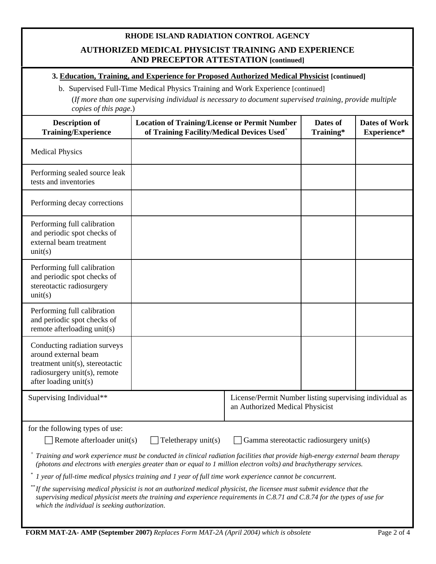#### **RHODE ISLAND RADIATION CONTROL AGENCY**

## **AUTHORIZED MEDICAL PHYSICIST TRAINING AND EXPERIENCE AND PRECEPTOR ATTESTATION [continued]**

## **3. Education, Training, and Experience for Proposed Authorized Medical Physicist [continued]**

b. Supervised Full-Time Medical Physics Training and Work Experience [continued]

(*If more than one supervising individual is necessary to document supervised training, provide multiple copies of this page*.)

| <b>Description of</b><br><b>Training/Experience</b>                                                                                                                                                                                                                                                                                                                                                                                                                                                                                                                                                                                                                                                                                                                                                                                   | <b>Location of Training/License or Permit Number</b><br>of Training Facility/Medical Devices Used <sup>+</sup> | Dates of<br>Training*                                                                      | <b>Dates of Work</b><br>Experience* |  |  |
|---------------------------------------------------------------------------------------------------------------------------------------------------------------------------------------------------------------------------------------------------------------------------------------------------------------------------------------------------------------------------------------------------------------------------------------------------------------------------------------------------------------------------------------------------------------------------------------------------------------------------------------------------------------------------------------------------------------------------------------------------------------------------------------------------------------------------------------|----------------------------------------------------------------------------------------------------------------|--------------------------------------------------------------------------------------------|-------------------------------------|--|--|
| <b>Medical Physics</b>                                                                                                                                                                                                                                                                                                                                                                                                                                                                                                                                                                                                                                                                                                                                                                                                                |                                                                                                                |                                                                                            |                                     |  |  |
| Performing sealed source leak<br>tests and inventories                                                                                                                                                                                                                                                                                                                                                                                                                                                                                                                                                                                                                                                                                                                                                                                |                                                                                                                |                                                                                            |                                     |  |  |
| Performing decay corrections                                                                                                                                                                                                                                                                                                                                                                                                                                                                                                                                                                                                                                                                                                                                                                                                          |                                                                                                                |                                                                                            |                                     |  |  |
| Performing full calibration<br>and periodic spot checks of<br>external beam treatment<br>unit(s)                                                                                                                                                                                                                                                                                                                                                                                                                                                                                                                                                                                                                                                                                                                                      |                                                                                                                |                                                                                            |                                     |  |  |
| Performing full calibration<br>and periodic spot checks of<br>stereotactic radiosurgery<br>unit(s)                                                                                                                                                                                                                                                                                                                                                                                                                                                                                                                                                                                                                                                                                                                                    |                                                                                                                |                                                                                            |                                     |  |  |
| Performing full calibration<br>and periodic spot checks of<br>remote afterloading unit(s)                                                                                                                                                                                                                                                                                                                                                                                                                                                                                                                                                                                                                                                                                                                                             |                                                                                                                |                                                                                            |                                     |  |  |
| Conducting radiation surveys<br>around external beam<br>treatment unit(s), stereotactic<br>radiosurgery unit(s), remote<br>after loading unit(s)                                                                                                                                                                                                                                                                                                                                                                                                                                                                                                                                                                                                                                                                                      |                                                                                                                |                                                                                            |                                     |  |  |
| Supervising Individual**                                                                                                                                                                                                                                                                                                                                                                                                                                                                                                                                                                                                                                                                                                                                                                                                              |                                                                                                                | License/Permit Number listing supervising individual as<br>an Authorized Medical Physicist |                                     |  |  |
| for the following types of use:<br>Remote afterloader unit(s)<br>$\Box$ Teletherapy unit(s)<br>Gamma stereotactic radiosurgery unit(s)<br><sup>+</sup> Training and work experience must be conducted in clinical radiation facilities that provide high-energy external beam therapy<br>(photons and electrons with energies greater than or equal to 1 million electron volts) and brachytherapy services.<br>I year of full-time medical physics training and I year of full time work experience cannot be concurrent.<br>If the supervising medical physicist is not an authorized medical physicist, the licensee must submit evidence that the<br>supervising medical physicist meets the training and experience requirements in C.8.71 and C.8.74 for the types of use for<br>which the individual is seeking authorization. |                                                                                                                |                                                                                            |                                     |  |  |
|                                                                                                                                                                                                                                                                                                                                                                                                                                                                                                                                                                                                                                                                                                                                                                                                                                       |                                                                                                                |                                                                                            |                                     |  |  |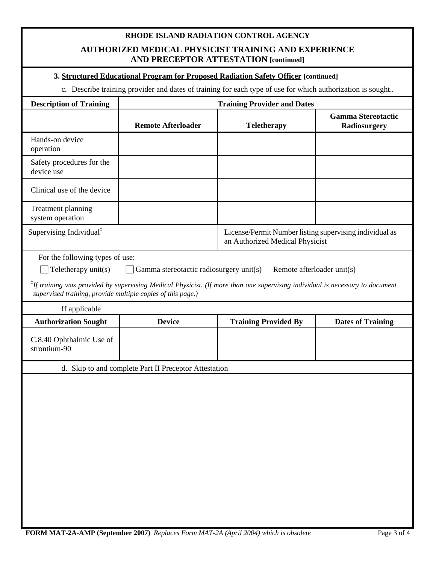# **RHODE ISLAND RADIATION CONTROL AGENCY AUTHORIZED MEDICAL PHYSICIST TRAINING AND EXPERIENCE AND PRECEPTOR ATTESTATION [continued]**

#### **3. Structured Educational Program for Proposed Radiation Safety Officer [continued]**

c. Describe training provider and dates of training for each type of use for which authorization is sought..

| <b>Description of Training</b>                                                                                                                                                                                                                                                                                                                   | <b>Training Provider and Dates</b>                    |                                                                                            |                                           |  |  |  |
|--------------------------------------------------------------------------------------------------------------------------------------------------------------------------------------------------------------------------------------------------------------------------------------------------------------------------------------------------|-------------------------------------------------------|--------------------------------------------------------------------------------------------|-------------------------------------------|--|--|--|
|                                                                                                                                                                                                                                                                                                                                                  | <b>Remote Afterloader</b>                             | <b>Teletherapy</b>                                                                         | <b>Gamma Stereotactic</b><br>Radiosurgery |  |  |  |
| Hands-on device<br>operation                                                                                                                                                                                                                                                                                                                     |                                                       |                                                                                            |                                           |  |  |  |
| Safety procedures for the<br>device use                                                                                                                                                                                                                                                                                                          |                                                       |                                                                                            |                                           |  |  |  |
| Clinical use of the device                                                                                                                                                                                                                                                                                                                       |                                                       |                                                                                            |                                           |  |  |  |
| Treatment planning<br>system operation                                                                                                                                                                                                                                                                                                           |                                                       |                                                                                            |                                           |  |  |  |
| Supervising Individual <sup>‡</sup>                                                                                                                                                                                                                                                                                                              |                                                       | License/Permit Number listing supervising individual as<br>an Authorized Medical Physicist |                                           |  |  |  |
| For the following types of use:<br>Teletherapy unit(s)<br>Gamma stereotactic radiosurgery unit(s)<br>Remote afterloader unit(s)<br>${}$ <sup>‡</sup> If training was provided by supervising Medical Physicist. (If more than one supervising individual is necessary to document<br>supervised training, provide multiple copies of this page.) |                                                       |                                                                                            |                                           |  |  |  |
| If applicable                                                                                                                                                                                                                                                                                                                                    |                                                       |                                                                                            |                                           |  |  |  |
|                                                                                                                                                                                                                                                                                                                                                  |                                                       |                                                                                            |                                           |  |  |  |
| <b>Authorization Sought</b>                                                                                                                                                                                                                                                                                                                      | <b>Device</b>                                         | <b>Training Provided By</b>                                                                | <b>Dates of Training</b>                  |  |  |  |
| C.8.40 Ophthalmic Use of<br>strontium-90                                                                                                                                                                                                                                                                                                         |                                                       |                                                                                            |                                           |  |  |  |
|                                                                                                                                                                                                                                                                                                                                                  | d. Skip to and complete Part II Preceptor Attestation |                                                                                            |                                           |  |  |  |